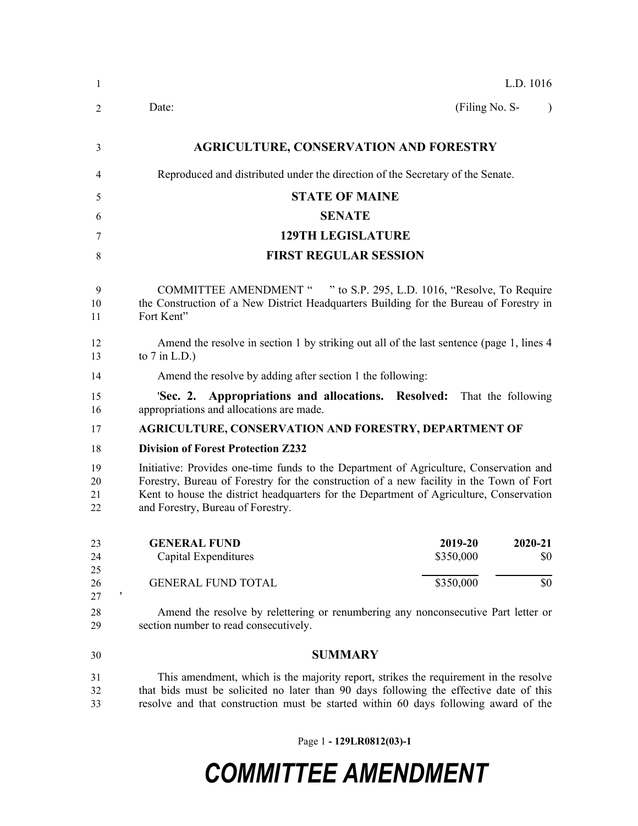| -1                   | L.D. 1016                                                                                                                                                                                                                                                                                                         |
|----------------------|-------------------------------------------------------------------------------------------------------------------------------------------------------------------------------------------------------------------------------------------------------------------------------------------------------------------|
| 2                    | Date:<br>(Filing No. S-<br>$\lambda$                                                                                                                                                                                                                                                                              |
| 3                    | <b>AGRICULTURE, CONSERVATION AND FORESTRY</b>                                                                                                                                                                                                                                                                     |
| 4                    | Reproduced and distributed under the direction of the Secretary of the Senate.                                                                                                                                                                                                                                    |
| 5                    | <b>STATE OF MAINE</b>                                                                                                                                                                                                                                                                                             |
| 6                    | <b>SENATE</b>                                                                                                                                                                                                                                                                                                     |
| 7                    | <b>129TH LEGISLATURE</b>                                                                                                                                                                                                                                                                                          |
| 8                    | <b>FIRST REGULAR SESSION</b>                                                                                                                                                                                                                                                                                      |
| 9<br>10<br>11        | COMMITTEE AMENDMENT " " to S.P. 295, L.D. 1016, "Resolve, To Require<br>the Construction of a New District Headquarters Building for the Bureau of Forestry in<br>Fort Kent"                                                                                                                                      |
| 12<br>13             | Amend the resolve in section 1 by striking out all of the last sentence (page 1, lines 4<br>to $7$ in L.D.)                                                                                                                                                                                                       |
| 14                   | Amend the resolve by adding after section 1 the following:                                                                                                                                                                                                                                                        |
| 15<br>16             | 'Sec. 2. Appropriations and allocations. Resolved: That the following<br>appropriations and allocations are made.                                                                                                                                                                                                 |
| 17                   | <b>AGRICULTURE, CONSERVATION AND FORESTRY, DEPARTMENT OF</b>                                                                                                                                                                                                                                                      |
| 18                   | <b>Division of Forest Protection Z232</b>                                                                                                                                                                                                                                                                         |
| 19<br>20<br>21<br>22 | Initiative: Provides one-time funds to the Department of Agriculture, Conservation and<br>Forestry, Bureau of Forestry for the construction of a new facility in the Town of Fort<br>Kent to house the district headquarters for the Department of Agriculture, Conservation<br>and Forestry, Bureau of Forestry. |
| 23<br>24             | 2019-20<br>2020-21<br><b>GENERAL FUND</b><br>Capital Expenditures<br>\$350,000<br>\$0                                                                                                                                                                                                                             |
| 25<br>26<br>27       | <b>GENERAL FUND TOTAL</b><br>\$350,000<br>\$0<br>1                                                                                                                                                                                                                                                                |
| 28<br>29             | Amend the resolve by relettering or renumbering any nonconsecutive Part letter or<br>section number to read consecutively.                                                                                                                                                                                        |
| 30                   | <b>SUMMARY</b>                                                                                                                                                                                                                                                                                                    |
| 31<br>32<br>33       | This amendment, which is the majority report, strikes the requirement in the resolve<br>that bids must be solicited no later than 90 days following the effective date of this<br>resolve and that construction must be started within 60 days following award of the                                             |

Page 1 **- 129LR0812(03)-1**

## *COMMITTEE AMENDMENT*